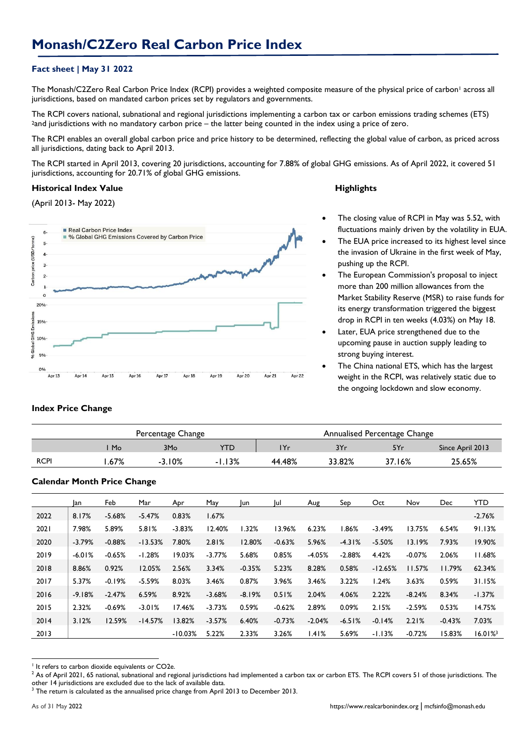# **Fact sheet | May 31 2022**

The Monash/C2Zero Real Carbon Price Index (RCPI) provides a weighted composite measure of the physical price of carbon<sup>1</sup> across all jurisdictions, based on mandated carbon prices set by regulators and governments.

The RCPI covers national, subnational and regional jurisdictions implementing a carbon tax or carbon emissions trading schemes (ETS) <sup>2</sup>and jurisdictions with no mandatory carbon price – the latter being counted in the index using a price of zero.

The RCPI enables an overall global carbon price and price history to be determined, reflecting the global value of carbon, as priced across all jurisdictions, dating back to April 2013.

The RCPI started in April 2013, covering 20 jurisdictions, accounting for 7.88% of global GHG emissions. As of April 2022, it covered 51 jurisdictions, accounting for 20.71% of global GHG emissions.

### **Historical Index Value Highlights**

(April 2013- May 2022)



- The closing value of RCPI in May was 5.52, with fluctuations mainly driven by the volatility in EUA.
- The EUA price increased to its highest level since the invasion of Ukraine in the first week of May, pushing up the RCPI.
- The European Commission's proposal to inject more than 200 million allowances from the Market Stability Reserve (MSR) to raise funds for its energy transformation triggered the biggest drop in RCPI in ten weeks (4.03%) on May 18.
- Later, EUA price strengthened due to the upcoming pause in auction supply leading to strong buying interest.
- The China national ETS, which has the largest weight in the RCPI, was relatively static due to the ongoing lockdown and slow economy.

#### **Index Price Change**

|             |      | Percentage Change |          | Annualised Percentage Change |        |        |                  |  |  |
|-------------|------|-------------------|----------|------------------------------|--------|--------|------------------|--|--|
|             | Mo   | 3M <sub>o</sub>   | YTD.     | 'Yr                          | 3Yr    | 5Yr    | Since April 2013 |  |  |
| <b>RCPI</b> | .67% | $-3.10%$          | $-1.13%$ | 44.48%                       | 33.82% | 37.16% | 25.65%           |  |  |

## **Calendar Month Price Change**

|      | lan      | Feb      | Mar       | Apr       | May      | lun      | lul      | Aug      | Sep        | Oct       | Nov      | Dec      | <b>YTD</b> |
|------|----------|----------|-----------|-----------|----------|----------|----------|----------|------------|-----------|----------|----------|------------|
| 2022 | 8.17%    | $-5.68%$ | $-5.47%$  | 0.83%     | 1.67%    |          |          |          |            |           |          |          | $-2.76%$   |
| 2021 | 7.98%    | 5.89%    | 5.81%     | $-3.83%$  | 12.40%   | 1.32%    | 13.96%   | 6.23%    | <b>86%</b> | $-3.49%$  | 13.75%   | 6.54%    | 91.13%     |
| 2020 | $-3.79%$ | $-0.88%$ | $-13.53%$ | 7.80%     | 2.81%    | 12.80%   | $-0.63%$ | 5.96%    | $-4.31%$   | $-5.50%$  | 13.19%   | 7.93%    | 19.90%     |
| 2019 | $-6.01%$ | $-0.65%$ | $-1.28%$  | 19.03%    | $-3.77%$ | 5.68%    | 0.85%    | $-4.05%$ | $-2.88%$   | 4.42%     | $-0.07%$ | 2.06%    | 11.68%     |
| 2018 | 8.86%    | 0.92%    | 12.05%    | 2.56%     | 3.34%    | $-0.35%$ | 5.23%    | 8.28%    | 0.58%      | $-12.65%$ | 11.57%   | 11.79%   | 62.34%     |
| 2017 | 5.37%    | $-0.19%$ | $-5.59%$  | 8.03%     | 3.46%    | 0.87%    | 3.96%    | 3.46%    | 3.22%      | 1.24%     | 3.63%    | 0.59%    | 31.15%     |
| 2016 | $-9.18%$ | $-2.47%$ | 6.59%     | 8.92%     | $-3.68%$ | $-8.19%$ | 0.51%    | 2.04%    | 4.06%      | 2.22%     | $-8.24%$ | 8.34%    | $-1.37%$   |
| 2015 | 2.32%    | $-0.69%$ | $-3.01%$  | 17.46%    | $-3.73%$ | 0.59%    | $-0.62%$ | 2.89%    | 0.09%      | 2.15%     | $-2.59%$ | 0.53%    | 14.75%     |
| 2014 | 3.12%    | 12.59%   | $-14.57%$ | 13.82%    | $-3.57%$ | 6.40%    | $-0.73%$ | $-2.04%$ | $-6.51%$   | $-0.14%$  | 2.21%    | $-0.43%$ | 7.03%      |
| 2013 |          |          |           | $-10.03%$ | 5.22%    | 2.33%    | 3.26%    | 1.41%    | 5.69%      | $-1.13%$  | $-0.72%$ | 15.83%   | 16.01%     |

<sup>1</sup> <sup>1</sup> It refers to carbon dioxide equivalents or CO2e.

<sup>&</sup>lt;sup>2</sup> As of April 2021, 65 national, subnational and regional jurisdictions had implemented a carbon tax or carbon ETS. The RCPI covers 51 of those jurisdictions. The other 14 jurisdictions are excluded due to the lack of available data.

<sup>&</sup>lt;sup>3</sup> The return is calculated as the annualised price change from April 2013 to December 2013.